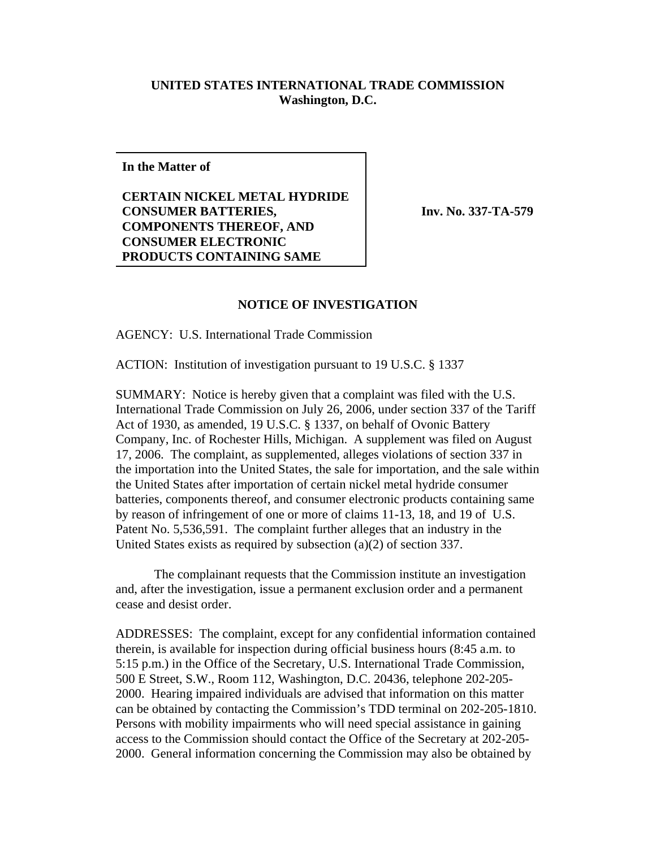## **UNITED STATES INTERNATIONAL TRADE COMMISSION Washington, D.C.**

**In the Matter of**

**CERTAIN NICKEL METAL HYDRIDE CONSUMER BATTERIES, COMPONENTS THEREOF, AND CONSUMER ELECTRONIC PRODUCTS CONTAINING SAME**

**Inv. No. 337-TA-579**

## **NOTICE OF INVESTIGATION**

AGENCY: U.S. International Trade Commission

ACTION: Institution of investigation pursuant to 19 U.S.C. § 1337

SUMMARY: Notice is hereby given that a complaint was filed with the U.S. International Trade Commission on July 26, 2006, under section 337 of the Tariff Act of 1930, as amended, 19 U.S.C. § 1337, on behalf of Ovonic Battery Company, Inc. of Rochester Hills, Michigan. A supplement was filed on August 17, 2006. The complaint, as supplemented, alleges violations of section 337 in the importation into the United States, the sale for importation, and the sale within the United States after importation of certain nickel metal hydride consumer batteries, components thereof, and consumer electronic products containing same by reason of infringement of one or more of claims 11-13, 18, and 19 of U.S. Patent No. 5,536,591. The complaint further alleges that an industry in the United States exists as required by subsection (a)(2) of section 337.

The complainant requests that the Commission institute an investigation and, after the investigation, issue a permanent exclusion order and a permanent cease and desist order.

ADDRESSES: The complaint, except for any confidential information contained therein, is available for inspection during official business hours (8:45 a.m. to 5:15 p.m.) in the Office of the Secretary, U.S. International Trade Commission, 500 E Street, S.W., Room 112, Washington, D.C. 20436, telephone 202-205- 2000. Hearing impaired individuals are advised that information on this matter can be obtained by contacting the Commission's TDD terminal on 202-205-1810. Persons with mobility impairments who will need special assistance in gaining access to the Commission should contact the Office of the Secretary at 202-205- 2000. General information concerning the Commission may also be obtained by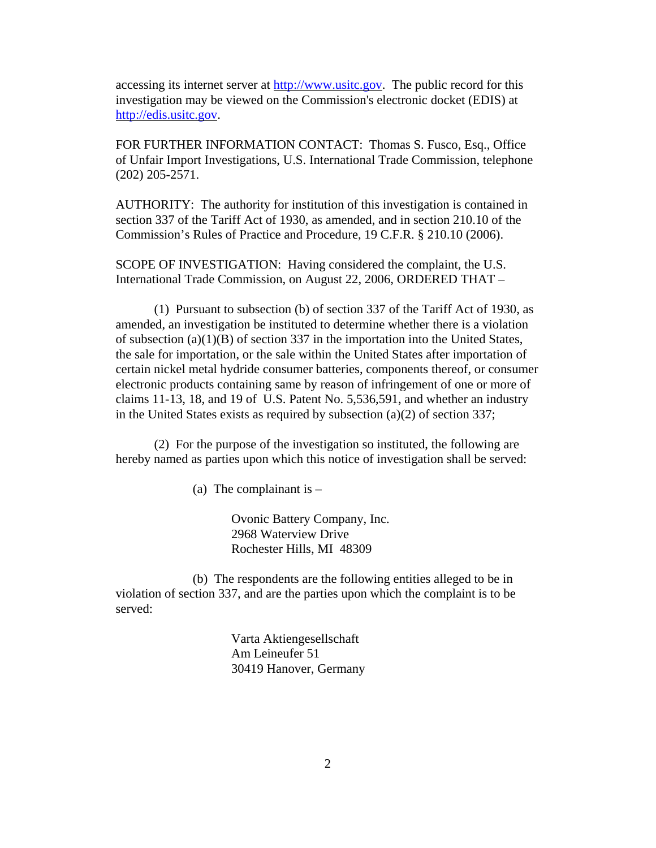accessing its internet server at http://www.usitc.gov. The public record for this investigation may be viewed on the Commission's electronic docket (EDIS) at http://edis.usitc.gov.

FOR FURTHER INFORMATION CONTACT: Thomas S. Fusco, Esq., Office of Unfair Import Investigations, U.S. International Trade Commission, telephone (202) 205-2571.

AUTHORITY: The authority for institution of this investigation is contained in section 337 of the Tariff Act of 1930, as amended, and in section 210.10 of the Commission's Rules of Practice and Procedure, 19 C.F.R. § 210.10 (2006).

SCOPE OF INVESTIGATION: Having considered the complaint, the U.S. International Trade Commission, on August 22, 2006, ORDERED THAT –

(1) Pursuant to subsection (b) of section 337 of the Tariff Act of 1930, as amended, an investigation be instituted to determine whether there is a violation of subsection (a)(1)(B) of section 337 in the importation into the United States, the sale for importation, or the sale within the United States after importation of certain nickel metal hydride consumer batteries, components thereof, or consumer electronic products containing same by reason of infringement of one or more of claims 11-13, 18, and 19 of U.S. Patent No. 5,536,591, and whether an industry in the United States exists as required by subsection (a)(2) of section 337;

(2) For the purpose of the investigation so instituted, the following are hereby named as parties upon which this notice of investigation shall be served:

(a) The complainant is  $-$ 

Ovonic Battery Company, Inc. 2968 Waterview Drive Rochester Hills, MI 48309

(b) The respondents are the following entities alleged to be in violation of section 337, and are the parties upon which the complaint is to be served:

> Varta Aktiengesellschaft Am Leineufer 51 30419 Hanover, Germany